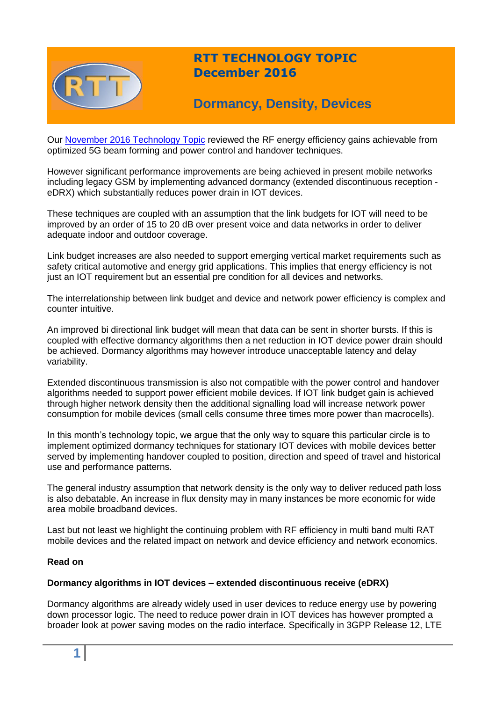

# **RTT TECHNOLOGY TOPIC December 2016**

# **Dormancy, Density, Devices**

Our [November 2016 Technology Topic](http://www.rttonline.com/tt/TT2016_011.pdf) reviewed the RF energy efficiency gains achievable from optimized 5G beam forming and power control and handover techniques.

However significant performance improvements are being achieved in present mobile networks including legacy GSM by implementing advanced dormancy (extended discontinuous reception eDRX) which substantially reduces power drain in IOT devices.

These techniques are coupled with an assumption that the link budgets for IOT will need to be improved by an order of 15 to 20 dB over present voice and data networks in order to deliver adequate indoor and outdoor coverage.

Link budget increases are also needed to support emerging vertical market requirements such as safety critical automotive and energy grid applications. This implies that energy efficiency is not just an IOT requirement but an essential pre condition for all devices and networks.

The interrelationship between link budget and device and network power efficiency is complex and counter intuitive.

An improved bi directional link budget will mean that data can be sent in shorter bursts. If this is coupled with effective dormancy algorithms then a net reduction in IOT device power drain should be achieved. Dormancy algorithms may however introduce unacceptable latency and delay variability.

Extended discontinuous transmission is also not compatible with the power control and handover algorithms needed to support power efficient mobile devices. If IOT link budget gain is achieved through higher network density then the additional signalling load will increase network power consumption for mobile devices (small cells consume three times more power than macrocells).

In this month's technology topic, we argue that the only way to square this particular circle is to implement optimized dormancy techniques for stationary IOT devices with mobile devices better served by implementing handover coupled to position, direction and speed of travel and historical use and performance patterns.

The general industry assumption that network density is the only way to deliver reduced path loss is also debatable. An increase in flux density may in many instances be more economic for wide area mobile broadband devices.

Last but not least we highlight the continuing problem with RF efficiency in multi band multi RAT mobile devices and the related impact on network and device efficiency and network economics.

## **Read on**

## **Dormancy algorithms in IOT devices – extended discontinuous receive (eDRX)**

Dormancy algorithms are already widely used in user devices to reduce energy use by powering down processor logic. The need to reduce power drain in IOT devices has however prompted a broader look at power saving modes on the radio interface. Specifically in 3GPP Release 12, LTE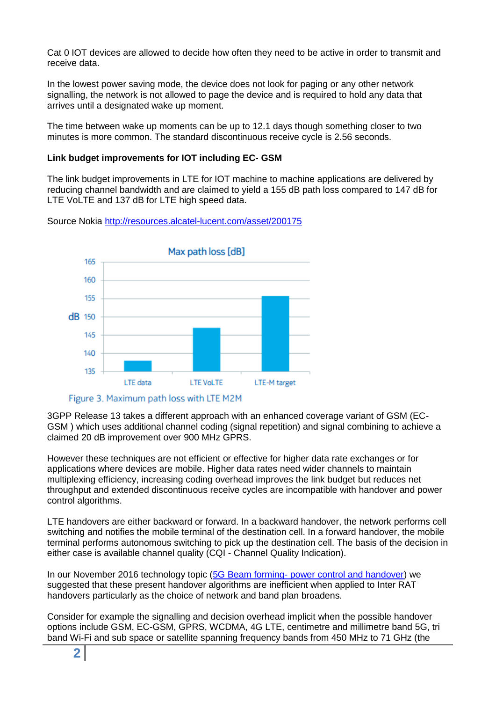Cat 0 IOT devices are allowed to decide how often they need to be active in order to transmit and receive data.

In the lowest power saving mode, the device does not look for paging or any other network signalling, the network is not allowed to page the device and is required to hold any data that arrives until a designated wake up moment.

The time between wake up moments can be up to 12.1 days though something closer to two minutes is more common. The standard discontinuous receive cycle is 2.56 seconds.

## **Link budget improvements for IOT including EC- GSM**

The link budget improvements in LTE for IOT machine to machine applications are delivered by reducing channel bandwidth and are claimed to yield a 155 dB path loss compared to 147 dB for LTE VoLTE and 137 dB for LTE high speed data.





3GPP Release 13 takes a different approach with an enhanced coverage variant of GSM (EC-GSM ) which uses additional channel coding (signal repetition) and signal combining to achieve a claimed 20 dB improvement over 900 MHz GPRS.

However these techniques are not efficient or effective for higher data rate exchanges or for applications where devices are mobile. Higher data rates need wider channels to maintain multiplexing efficiency, increasing coding overhead improves the link budget but reduces net throughput and extended discontinuous receive cycles are incompatible with handover and power control algorithms.

LTE handovers are either backward or forward. In a backward handover, the network performs cell switching and notifies the mobile terminal of the destination cell. In a forward handover, the mobile terminal performs autonomous switching to pick up the destination cell. The basis of the decision in either case is available channel quality (CQI - Channel Quality Indication).

In our November 2016 technology topic (5G Beam forming- [power control and handover\)](http://www.rttonline.com/tt/TT2016_011.pdf) we suggested that these present handover algorithms are inefficient when applied to Inter RAT handovers particularly as the choice of network and band plan broadens.

Consider for example the signalling and decision overhead implicit when the possible handover options include GSM, EC-GSM, GPRS, WCDMA, 4G LTE, centimetre and millimetre band 5G, tri band Wi-Fi and sub space or satellite spanning frequency bands from 450 MHz to 71 GHz (the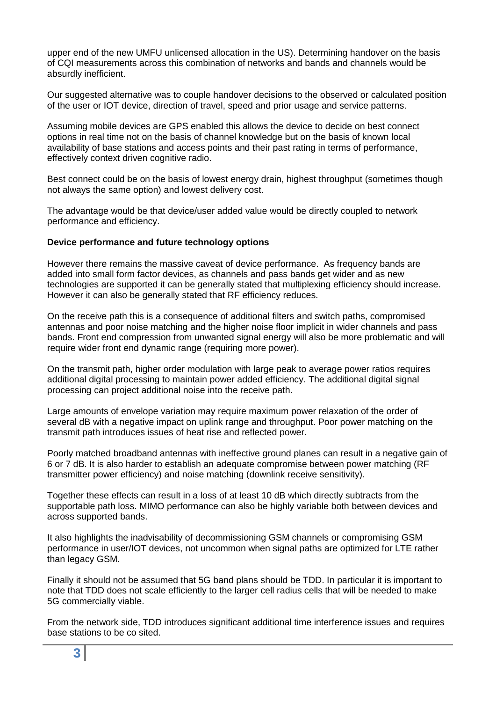upper end of the new UMFU unlicensed allocation in the US). Determining handover on the basis of CQI measurements across this combination of networks and bands and channels would be absurdly inefficient.

Our suggested alternative was to couple handover decisions to the observed or calculated position of the user or IOT device, direction of travel, speed and prior usage and service patterns.

Assuming mobile devices are GPS enabled this allows the device to decide on best connect options in real time not on the basis of channel knowledge but on the basis of known local availability of base stations and access points and their past rating in terms of performance, effectively context driven cognitive radio.

Best connect could be on the basis of lowest energy drain, highest throughput (sometimes though not always the same option) and lowest delivery cost.

The advantage would be that device/user added value would be directly coupled to network performance and efficiency.

#### **Device performance and future technology options**

However there remains the massive caveat of device performance. As frequency bands are added into small form factor devices, as channels and pass bands get wider and as new technologies are supported it can be generally stated that multiplexing efficiency should increase. However it can also be generally stated that RF efficiency reduces.

On the receive path this is a consequence of additional filters and switch paths, compromised antennas and poor noise matching and the higher noise floor implicit in wider channels and pass bands. Front end compression from unwanted signal energy will also be more problematic and will require wider front end dynamic range (requiring more power).

On the transmit path, higher order modulation with large peak to average power ratios requires additional digital processing to maintain power added efficiency. The additional digital signal processing can project additional noise into the receive path.

Large amounts of envelope variation may require maximum power relaxation of the order of several dB with a negative impact on uplink range and throughput. Poor power matching on the transmit path introduces issues of heat rise and reflected power.

Poorly matched broadband antennas with ineffective ground planes can result in a negative gain of 6 or 7 dB. It is also harder to establish an adequate compromise between power matching (RF transmitter power efficiency) and noise matching (downlink receive sensitivity).

Together these effects can result in a loss of at least 10 dB which directly subtracts from the supportable path loss. MIMO performance can also be highly variable both between devices and across supported bands.

It also highlights the inadvisability of decommissioning GSM channels or compromising GSM performance in user/IOT devices, not uncommon when signal paths are optimized for LTE rather than legacy GSM.

Finally it should not be assumed that 5G band plans should be TDD. In particular it is important to note that TDD does not scale efficiently to the larger cell radius cells that will be needed to make 5G commercially viable.

From the network side, TDD introduces significant additional time interference issues and requires base stations to be co sited.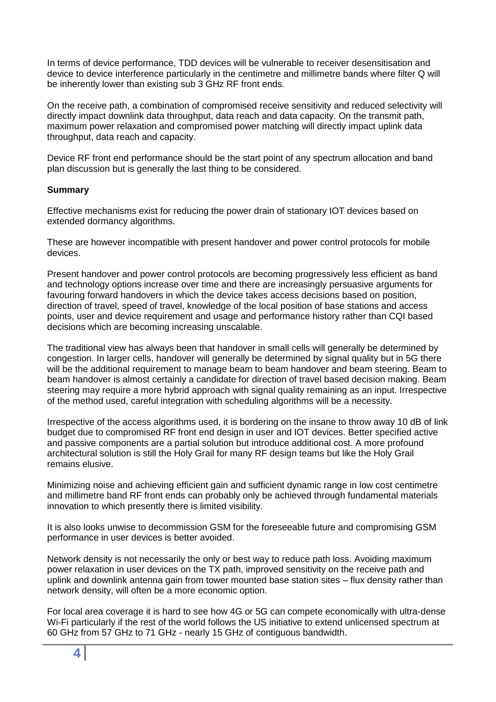In terms of device performance, TDD devices will be vulnerable to receiver desensitisation and device to device interference particularly in the centimetre and millimetre bands where filter Q will be inherently lower than existing sub 3 GHz RF front ends.

On the receive path, a combination of compromised receive sensitivity and reduced selectivity will directly impact downlink data throughput, data reach and data capacity. On the transmit path, maximum power relaxation and compromised power matching will directly impact uplink data throughput, data reach and capacity.

Device RF front end performance should be the start point of any spectrum allocation and band plan discussion but is generally the last thing to be considered.

## **Summary**

Effective mechanisms exist for reducing the power drain of stationary IOT devices based on extended dormancy algorithms.

These are however incompatible with present handover and power control protocols for mobile devices.

Present handover and power control protocols are becoming progressively less efficient as band and technology options increase over time and there are increasingly persuasive arguments for favouring forward handovers in which the device takes access decisions based on position, direction of travel, speed of travel, knowledge of the local position of base stations and access points, user and device requirement and usage and performance history rather than CQI based decisions which are becoming increasing unscalable.

The traditional view has always been that handover in small cells will generally be determined by congestion. In larger cells, handover will generally be determined by signal quality but in 5G there will be the additional requirement to manage beam to beam handover and beam steering. Beam to beam handover is almost certainly a candidate for direction of travel based decision making. Beam steering may require a more hybrid approach with signal quality remaining as an input. Irrespective of the method used, careful integration with scheduling algorithms will be a necessity.

Irrespective of the access algorithms used, it is bordering on the insane to throw away 10 dB of link budget due to compromised RF front end design in user and IOT devices. Better specified active and passive components are a partial solution but introduce additional cost. A more profound architectural solution is still the Holy Grail for many RF design teams but like the Holy Grail remains elusive.

Minimizing noise and achieving efficient gain and sufficient dynamic range in low cost centimetre and millimetre band RF front ends can probably only be achieved through fundamental materials innovation to which presently there is limited visibility.

It is also looks unwise to decommission GSM for the foreseeable future and compromising GSM performance in user devices is better avoided.

Network density is not necessarily the only or best way to reduce path loss. Avoiding maximum power relaxation in user devices on the TX path, improved sensitivity on the receive path and uplink and downlink antenna gain from tower mounted base station sites – flux density rather than network density, will often be a more economic option.

For local area coverage it is hard to see how 4G or 5G can compete economically with ultra-dense Wi-Fi particularly if the rest of the world follows the US initiative to extend unlicensed spectrum at 60 GHz from 57 GHz to 71 GHz - nearly 15 GHz of contiguous bandwidth.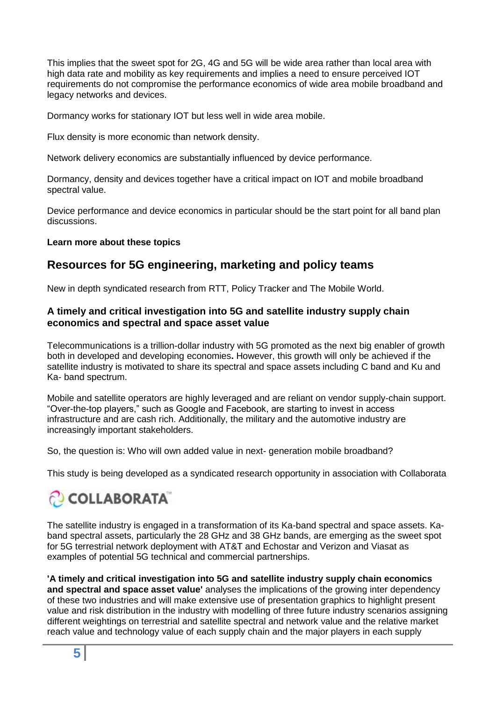This implies that the sweet spot for 2G, 4G and 5G will be wide area rather than local area with high data rate and mobility as key requirements and implies a need to ensure perceived IOT requirements do not compromise the performance economics of wide area mobile broadband and legacy networks and devices.

Dormancy works for stationary IOT but less well in wide area mobile.

Flux density is more economic than network density.

Network delivery economics are substantially influenced by device performance.

Dormancy, density and devices together have a critical impact on IOT and mobile broadband spectral value.

Device performance and device economics in particular should be the start point for all band plan discussions.

## **Learn more about these topics**

# **Resources for 5G engineering, marketing and policy teams**

New in depth syndicated research from RTT, Policy Tracker and The Mobile World.

## **A timely and critical investigation into 5G and satellite industry supply chain economics and spectral and space asset value**

Telecommunications is a trillion-dollar industry with 5G promoted as the next big enabler of growth both in developed and developing economies**.** However, this growth will only be achieved if the satellite industry is motivated to share its spectral and space assets including C band and Ku and Ka- band spectrum.

Mobile and satellite operators are highly leveraged and are reliant on vendor supply-chain support. "Over-the-top players," such as Google and Facebook, are starting to invest in access infrastructure and are cash rich. Additionally, the military and the automotive industry are increasingly important stakeholders.

So, the question is: Who will own added value in next- generation mobile broadband?

This study is being developed as a syndicated research opportunity in association with Collaborata

# **COLLABORATA**

The satellite industry is engaged in a transformation of its Ka-band spectral and space assets. Kaband spectral assets, particularly the 28 GHz and 38 GHz bands, are emerging as the sweet spot for 5G terrestrial network deployment with AT&T and Echostar and Verizon and Viasat as examples of potential 5G technical and commercial partnerships.

**'A timely and critical investigation into 5G and satellite industry supply chain economics and spectral and space asset value'** analyses the implications of the growing inter dependency of these two industries and will make extensive use of presentation graphics to highlight present value and risk distribution in the industry with modelling of three future industry scenarios assigning different weightings on terrestrial and satellite spectral and network value and the relative market reach value and technology value of each supply chain and the major players in each supply